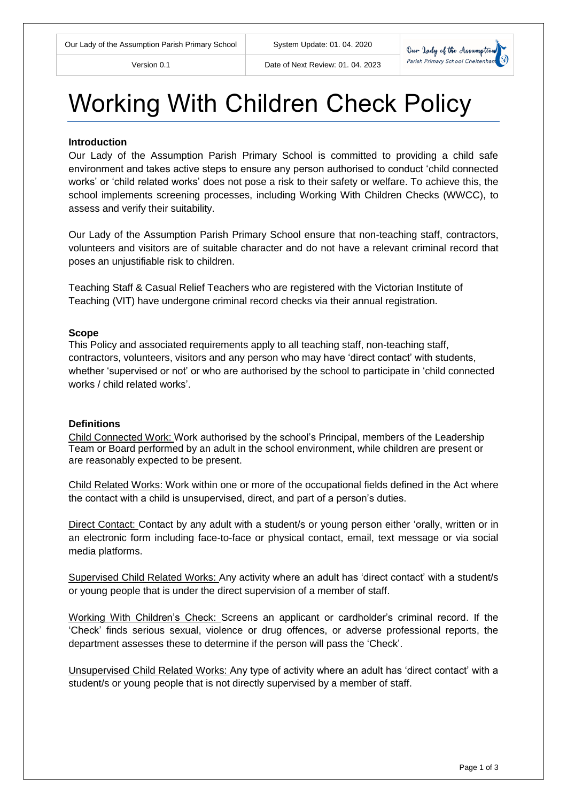

# Working With Children Check Policy

#### **Introduction**

Our Lady of the Assumption Parish Primary School is committed to providing a child safe environment and takes active steps to ensure any person authorised to conduct 'child connected works' or 'child related works' does not pose a risk to their safety or welfare. To achieve this, the school implements screening processes, including Working With Children Checks (WWCC), to assess and verify their suitability.

Our Lady of the Assumption Parish Primary School ensure that non-teaching staff, contractors, volunteers and visitors are of suitable character and do not have a relevant criminal record that poses an unjustifiable risk to children.

Teaching Staff & Casual Relief Teachers who are registered with the Victorian Institute of Teaching (VIT) have undergone criminal record checks via their annual registration.

#### **Scope**

This Policy and associated requirements apply to all teaching staff, non-teaching staff, contractors, volunteers, visitors and any person who may have 'direct contact' with students, whether 'supervised or not' or who are authorised by the school to participate in 'child connected works / child related works'.

#### **Definitions**

Child Connected Work: Work authorised by the school's Principal, members of the Leadership Team or Board performed by an adult in the school environment, while children are present or are reasonably expected to be present.

Child Related Works: Work within one or more of the occupational fields defined in the Act where the contact with a child is unsupervised, direct, and part of a person's duties.

Direct Contact: Contact by any adult with a student/s or young person either 'orally, written or in an electronic form including face-to-face or physical contact, email, text message or via social media platforms.

Supervised Child Related Works: Any activity where an adult has 'direct contact' with a student/s or young people that is under the direct supervision of a member of staff.

Working With Children's Check: Screens an applicant or cardholder's criminal record. If the 'Check' finds serious sexual, violence or drug offences, or adverse professional reports, the department assesses these to determine if the person will pass the 'Check'.

Unsupervised Child Related Works: Any type of activity where an adult has 'direct contact' with a student/s or young people that is not directly supervised by a member of staff.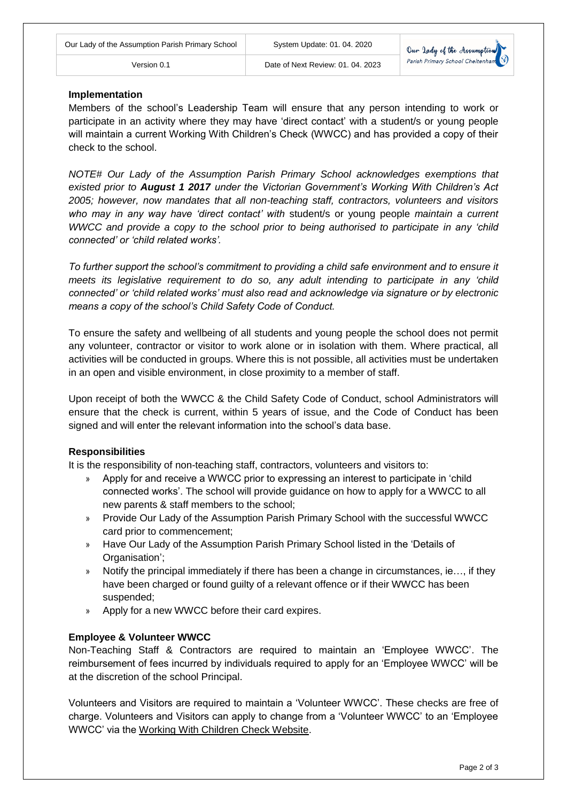# **Implementation**

Members of the school's Leadership Team will ensure that any person intending to work or participate in an activity where they may have 'direct contact' with a student/s or young people will maintain a current Working With Children's Check (WWCC) and has provided a copy of their check to the school.

Version 0.1 Date of Next Review: 01. 04. 2023

*NOTE# Our Lady of the Assumption Parish Primary School acknowledges exemptions that existed prior to August 1 2017 under the Victorian Government's Working With Children's Act 2005; however, now mandates that all non-teaching staff, contractors, volunteers and visitors who may in any way have 'direct contact' with* student/s or young people *maintain a current WWCC and provide a copy to the school prior to being authorised to participate in any 'child connected' or 'child related works'.*

*To further support the school's commitment to providing a child safe environment and to ensure it meets its legislative requirement to do so, any adult intending to participate in any 'child connected' or 'child related works' must also read and acknowledge via signature or by electronic means a copy of the school's Child Safety Code of Conduct.*

To ensure the safety and wellbeing of all students and young people the school does not permit any volunteer, contractor or visitor to work alone or in isolation with them. Where practical, all activities will be conducted in groups. Where this is not possible, all activities must be undertaken in an open and visible environment, in close proximity to a member of staff.

Upon receipt of both the WWCC & the Child Safety Code of Conduct, school Administrators will ensure that the check is current, within 5 years of issue, and the Code of Conduct has been signed and will enter the relevant information into the school's data base.

# **Responsibilities**

It is the responsibility of non-teaching staff, contractors, volunteers and visitors to:

- » Apply for and receive a WWCC prior to expressing an interest to participate in 'child connected works'. The school will provide guidance on how to apply for a WWCC to all new parents & staff members to the school;
- » Provide Our Lady of the Assumption Parish Primary School with the successful WWCC card prior to commencement;
- » Have Our Lady of the Assumption Parish Primary School listed in the 'Details of Organisation';
- » Notify the principal immediately if there has been a change in circumstances, ie…, if they have been charged or found guilty of a relevant offence or if their WWCC has been suspended;
- » Apply for a new WWCC before their card expires.

# **Employee & Volunteer WWCC**

Non-Teaching Staff & Contractors are required to maintain an 'Employee WWCC'. The reimbursement of fees incurred by individuals required to apply for an 'Employee WWCC' will be at the discretion of the school Principal.

Volunteers and Visitors are required to maintain a 'Volunteer WWCC'. These checks are free of charge. Volunteers and Visitors can apply to change from a 'Volunteer WWCC' to an 'Employee WWCC' via the [Working With Children Check Website.](http://www.workingwithchildren.vic.gov.au/home/)